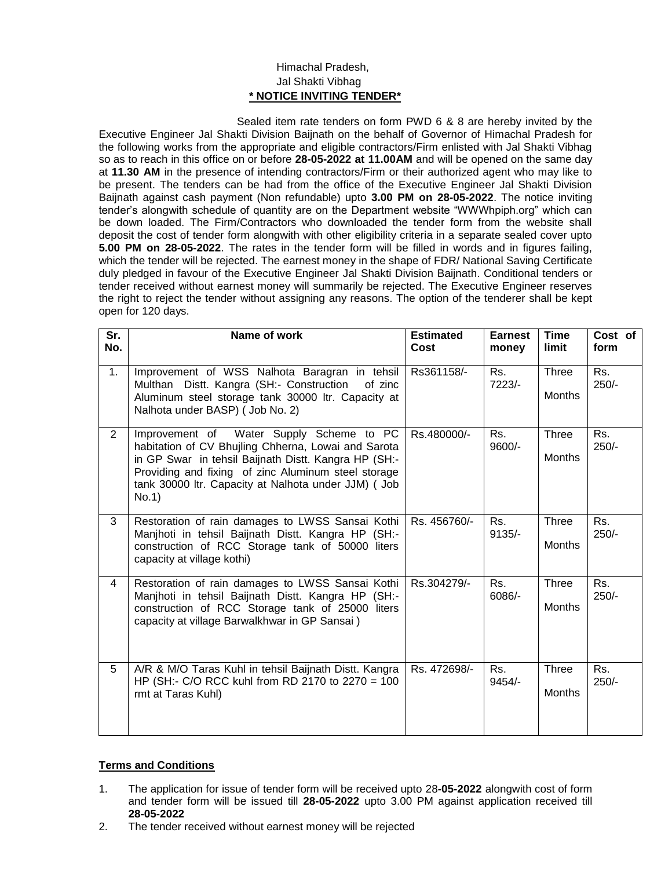## Himachal Pradesh, Jal Shakti Vibhag **\* NOTICE INVITING TENDER\***

Sealed item rate tenders on form PWD 6 & 8 are hereby invited by the Executive Engineer Jal Shakti Division Baijnath on the behalf of Governor of Himachal Pradesh for the following works from the appropriate and eligible contractors/Firm enlisted with Jal Shakti Vibhag so as to reach in this office on or before **28-05-2022 at 11.00AM** and will be opened on the same day at **11.30 AM** in the presence of intending contractors/Firm or their authorized agent who may like to be present. The tenders can be had from the office of the Executive Engineer Jal Shakti Division Baijnath against cash payment (Non refundable) upto **3.00 PM on 28-05-2022**. The notice inviting tender's alongwith schedule of quantity are on the Department website "WWWhpiph.org" which can be down loaded. The Firm/Contractors who downloaded the tender form from the website shall deposit the cost of tender form alongwith with other eligibility criteria in a separate sealed cover upto **5.00 PM on 28-05-2022**. The rates in the tender form will be filled in words and in figures failing, which the tender will be rejected. The earnest money in the shape of FDR/ National Saving Certificate duly pledged in favour of the Executive Engineer Jal Shakti Division Baijnath. Conditional tenders or tender received without earnest money will summarily be rejected. The Executive Engineer reserves the right to reject the tender without assigning any reasons. The option of the tenderer shall be kept open for 120 days.

| Sr.<br>No.     | Name of work                                                                                                                                                                                                                                                                    | <b>Estimated</b><br>Cost | <b>Earnest</b><br>money | <b>Time</b><br>limit          | Cost of<br>form |
|----------------|---------------------------------------------------------------------------------------------------------------------------------------------------------------------------------------------------------------------------------------------------------------------------------|--------------------------|-------------------------|-------------------------------|-----------------|
| 1.             | Improvement of WSS Nalhota Baragran in tehsil<br>Multhan Distt. Kangra (SH:- Construction<br>of zinc<br>Aluminum steel storage tank 30000 ltr. Capacity at<br>Nalhota under BASP) (Job No. 2)                                                                                   | Rs361158/-               | Rs.<br>7223/-           | Three<br><b>Months</b>        | Rs.<br>$250/-$  |
| $\overline{2}$ | Improvement of Water Supply Scheme to PC<br>habitation of CV Bhujling Chherna, Lowai and Sarota<br>in GP Swar in tehsil Baijnath Distt. Kangra HP (SH:-<br>Providing and fixing of zinc Aluminum steel storage<br>tank 30000 ltr. Capacity at Nalhota under JJM) ( Job<br>No.1) | Rs.480000/-              | Rs.<br>9600/-           | Three<br>Months               | Rs.<br>$250/-$  |
| 3              | Restoration of rain damages to LWSS Sansai Kothi<br>Manjhoti in tehsil Baijnath Distt. Kangra HP (SH:-<br>construction of RCC Storage tank of 50000 liters<br>capacity at village kothi)                                                                                        | Rs. 456760/-             | Rs.<br>$9135/-$         | Three<br>Months               | Rs.<br>$250/-$  |
| $\overline{4}$ | Restoration of rain damages to LWSS Sansai Kothi<br>Manjhoti in tehsil Baijnath Distt. Kangra HP (SH:-<br>construction of RCC Storage tank of 25000 liters<br>capacity at village Barwalkhwar in GP Sansai)                                                                     | Rs.304279/-              | Rs.<br>6086/-           | Three<br><b>Months</b>        | Rs.<br>$250/-$  |
| 5              | A/R & M/O Taras Kuhl in tehsil Baijnath Distt. Kangra<br>HP (SH:- C/O RCC kuhl from RD 2170 to 2270 = 100<br>rmt at Taras Kuhl)                                                                                                                                                 | Rs. 472698/-             | Rs.<br>9454/-           | <b>Three</b><br><b>Months</b> | Rs.<br>$250/-$  |

## **Terms and Conditions**

- 1. The application for issue of tender form will be received upto 28**-05-2022** alongwith cost of form and tender form will be issued till **28-05-2022** upto 3.00 PM against application received till **28-05-2022**
- 2. The tender received without earnest money will be rejected